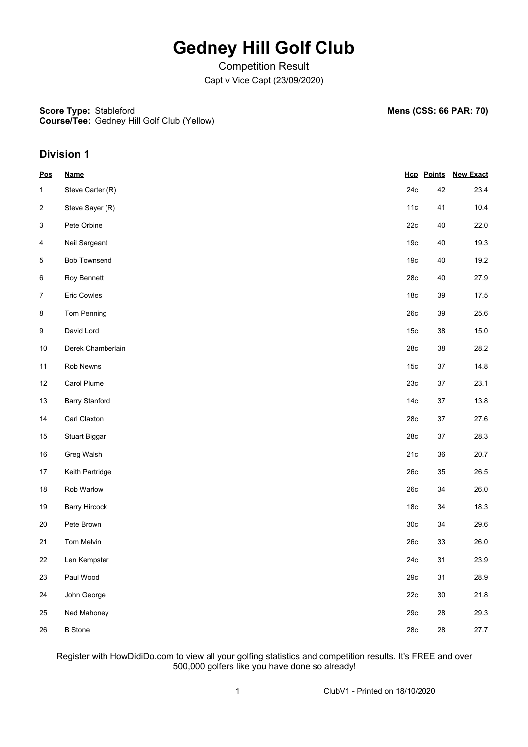## **Gedney Hill Golf Club**

Competition Result Capt v Vice Capt (23/09/2020)

**Score Type: Course/Tee:** Gedney Hill Golf Club (Yellow) **Mens (CSS: 66 PAR: 70)** 

### **Division 1**

| <b>Pos</b>              | <b>Name</b>           |                 |        | <b>Hcp Points New Exact</b> |
|-------------------------|-----------------------|-----------------|--------|-----------------------------|
| 1                       | Steve Carter (R)      | 24c             | 42     | 23.4                        |
| $\sqrt{2}$              | Steve Sayer (R)       | 11c             | 41     | 10.4                        |
| $\mathbf{3}$            | Pete Orbine           | 22c             | $40\,$ | 22.0                        |
| $\overline{\mathbf{4}}$ | Neil Sargeant         | 19 <sub>c</sub> | 40     | 19.3                        |
| $\sqrt{5}$              | <b>Bob Townsend</b>   | 19 <sub>c</sub> | $40\,$ | 19.2                        |
| 6                       | Roy Bennett           | 28c             | 40     | 27.9                        |
| $\boldsymbol{7}$        | Eric Cowles           | 18 <sub>c</sub> | 39     | 17.5                        |
| 8                       | Tom Penning           | 26c             | 39     | 25.6                        |
| $\boldsymbol{9}$        | David Lord            | 15 <sub>c</sub> | 38     | 15.0                        |
| $10$                    | Derek Chamberlain     | 28c             | 38     | 28.2                        |
| 11                      | Rob Newns             | 15 <sub>c</sub> | $37\,$ | 14.8                        |
| 12                      | Carol Plume           | 23c             | $37\,$ | 23.1                        |
| 13                      | <b>Barry Stanford</b> | 14 <sub>c</sub> | $37\,$ | 13.8                        |
| 14                      | Carl Claxton          | 28c             | $37\,$ | 27.6                        |
| $15\,$                  | <b>Stuart Biggar</b>  | 28c             | 37     | 28.3                        |
| 16                      | Greg Walsh            | 21c             | 36     | 20.7                        |
| 17                      | Keith Partridge       | 26c             | 35     | 26.5                        |
| $18\,$                  | Rob Warlow            | 26c             | 34     | 26.0                        |
| $19$                    | <b>Barry Hircock</b>  | 18 <sub>c</sub> | 34     | 18.3                        |
| 20                      | Pete Brown            | 30 <sub>c</sub> | 34     | 29.6                        |
| 21                      | Tom Melvin            | 26c             | 33     | 26.0                        |
| 22                      | Len Kempster          | 24c             | 31     | 23.9                        |
| 23                      | Paul Wood             | 29c             | 31     | 28.9                        |
| 24                      | John George           | 22c             | $30\,$ | 21.8                        |
| 25                      | Ned Mahoney           | 29c             | 28     | 29.3                        |
| 26                      | <b>B</b> Stone        | 28c             | 28     | 27.7                        |

Register with HowDidiDo.com to view all your golfing statistics and competition results. It's FREE and over 500,000 golfers like you have done so already!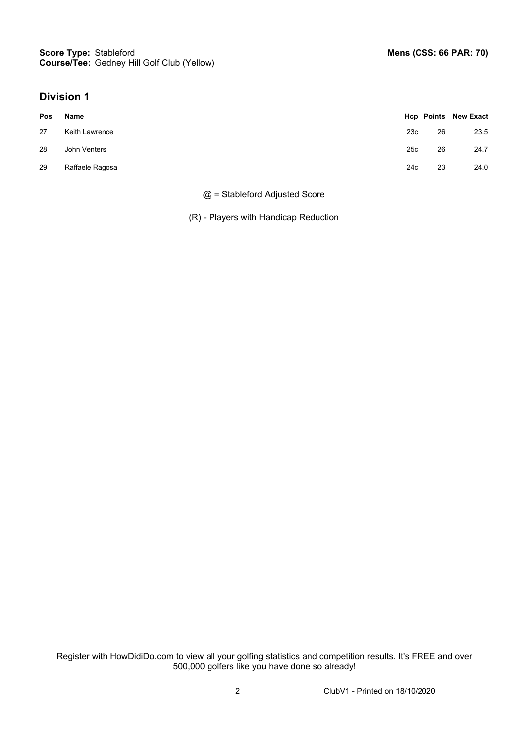### **Division 1**

| <b>Pos</b> | <b>Name</b>     |     |    | <b>Hcp</b> Points New Exact |
|------------|-----------------|-----|----|-----------------------------|
| 27         | Keith Lawrence  | 23c | 26 | 23.5                        |
| 28         | John Venters    | 25c | 26 | 24.7                        |
| 29         | Raffaele Ragosa | 24c | 23 | 24.0                        |

#### @ = Stableford Adjusted Score

(R) - Players with Handicap Reduction

Register with HowDidiDo.com to view all your golfing statistics and competition results. It's FREE and over 500,000 golfers like you have done so already!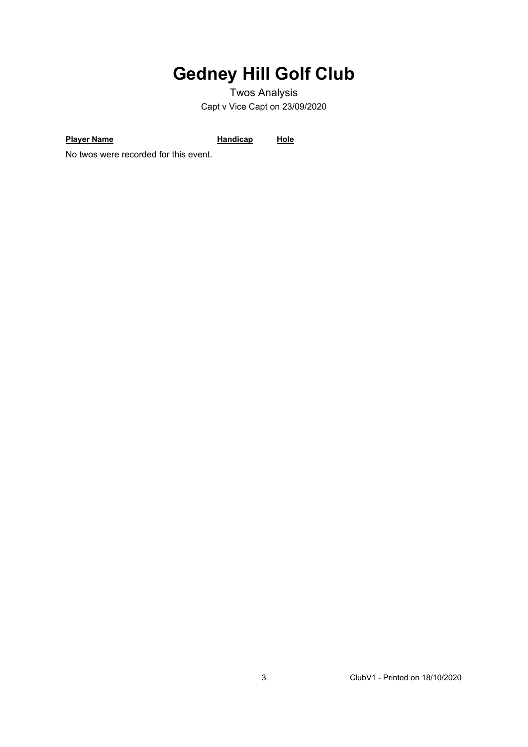# **Gedney Hill Golf Club**

Twos Analysis Capt v Vice Capt on 23/09/2020

**Player Name Handicap Hole** 

No twos were recorded for this event.

3 ClubV1 - Printed on 18/10/2020